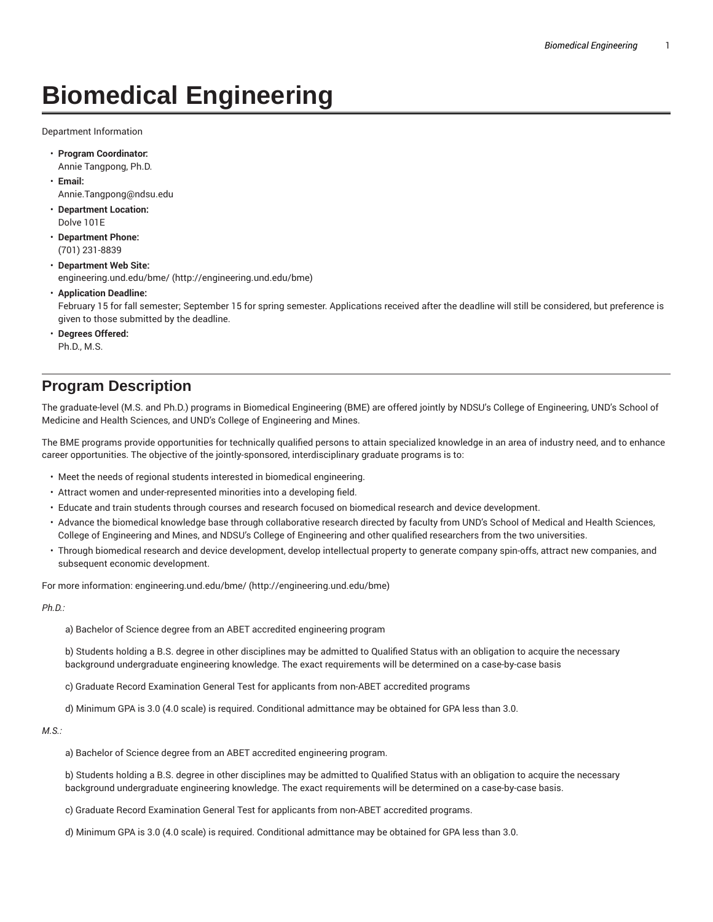## **Biomedical Engineering**

Department Information

- **Program Coordinator:** Annie Tangpong, Ph.D.
- **Email:** Annie.Tangpong@ndsu.edu
- **Department Location:** Dolve 101E
- **Department Phone:** (701) 231-8839
- **Department Web Site:** engineering.und.edu/bme/ (http://engineering.und.edu/bme)
- **Application Deadline:**

February 15 for fall semester; September 15 for spring semester. Applications received after the deadline will still be considered, but preference is given to those submitted by the deadline.

• **Degrees Offered:** Ph.D., M.S.

## **Program Description**

The graduate-level (M.S. and Ph.D.) programs in Biomedical Engineering (BME) are offered jointly by NDSU's College of Engineering, UND's School of Medicine and Health Sciences, and UND's College of Engineering and Mines.

The BME programs provide opportunities for technically qualified persons to attain specialized knowledge in an area of industry need, and to enhance career opportunities. The objective of the jointly-sponsored, interdisciplinary graduate programs is to:

- Meet the needs of regional students interested in biomedical engineering.
- Attract women and under-represented minorities into a developing field.
- Educate and train students through courses and research focused on biomedical research and device development.
- Advance the biomedical knowledge base through collaborative research directed by faculty from UND's School of Medical and Health Sciences, College of Engineering and Mines, and NDSU's College of Engineering and other qualified researchers from the two universities.
- Through biomedical research and device development, develop intellectual property to generate company spin-offs, attract new companies, and subsequent economic development.

For more information: engineering.und.edu/bme/ (http://engineering.und.edu/bme)

*Ph.D.:*

a) Bachelor of Science degree from an ABET accredited engineering program

b) Students holding a B.S. degree in other disciplines may be admitted to Qualified Status with an obligation to acquire the necessary background undergraduate engineering knowledge. The exact requirements will be determined on a case-by-case basis

c) Graduate Record Examination General Test for applicants from non-ABET accredited programs

d) Minimum GPA is 3.0 (4.0 scale) is required. Conditional admittance may be obtained for GPA less than 3.0.

*M.S.:*

a) Bachelor of Science degree from an ABET accredited engineering program.

b) Students holding a B.S. degree in other disciplines may be admitted to Qualified Status with an obligation to acquire the necessary background undergraduate engineering knowledge. The exact requirements will be determined on a case-by-case basis.

- c) Graduate Record Examination General Test for applicants from non-ABET accredited programs.
- d) Minimum GPA is 3.0 (4.0 scale) is required. Conditional admittance may be obtained for GPA less than 3.0.